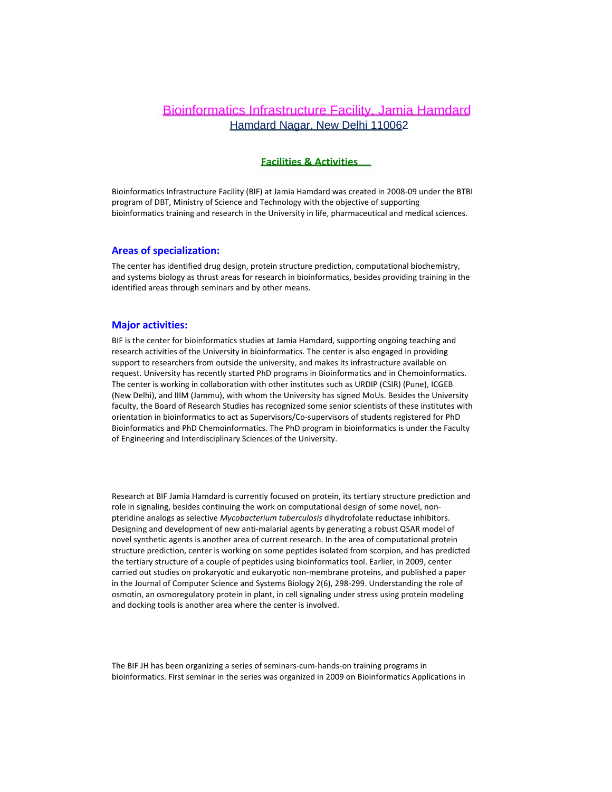# Bioinformatics Infrastructure Facility, Jamia Hamdard Hamdard Nagar, New Delhi 110062

#### **Facilities & Activities**

Bioinformatics Infrastructure Facility (BIF) at Jamia Hamdard was created in 2008-09 under the BTBI program of DBT, Ministry of Science and Technology with the objective of supporting bioinformatics training and research in the University in life, pharmaceutical and medical sciences.

#### **Areas of specialization:**

The center has identified drug design, protein structure prediction, computational biochemistry, and systems biology as thrust areas for research in bioinformatics, besides providing training in the identified areas through seminars and by other means.

# **Major activities:**

BIF is the center for bioinformatics studies at Jamia Hamdard, supporting ongoing teaching and research activities of the University in bioinformatics. The center is also engaged in providing support to researchers from outside the university, and makes its infrastructure available on request. University has recently started PhD programs in Bioinformatics and in Chemoinformatics. The center is working in collaboration with other institutes such as URDIP (CSIR) (Pune), ICGEB (New Delhi), and IIIM (Jammu), with whom the University has signed MoUs. Besides the University faculty, the Board of Research Studies has recognized some senior scientists of these institutes with orientation in bioinformatics to act as Supervisors/Co-supervisors of students registered for PhD Bioinformatics and PhD Chemoinformatics. The PhD program in bioinformatics is under the Faculty of Engineering and Interdisciplinary Sciences of the University.

Research at BIF Jamia Hamdard is currently focused on protein, its tertiary structure prediction and role in signaling, besides continuing the work on computational design of some novel, nonpteridine analogs as selective *Mycobacterium tuberculosis* dihydrofolate reductase inhibitors. Designing and development of new anti-malarial agents by generating a robust QSAR model of novel synthetic agents is another area of current research. In the area of computational protein structure prediction, center is working on some peptides isolated from scorpion, and has predicted the tertiary structure of a couple of peptides using bioinformatics tool. Earlier, in 2009, center carried out studies on prokaryotic and eukaryotic non-membrane proteins, and published a paper in the Journal of Computer Science and Systems Biology 2(6), 298-299. Understanding the role of osmotin, an osmoregulatory protein in plant, in cell signaling under stress using protein modeling and docking tools is another area where the center is involved.

The BIF JH has been organizing a series of seminars-cum-hands-on training programs in bioinformatics. First seminar in the series was organized in 2009 on Bioinformatics Applications in